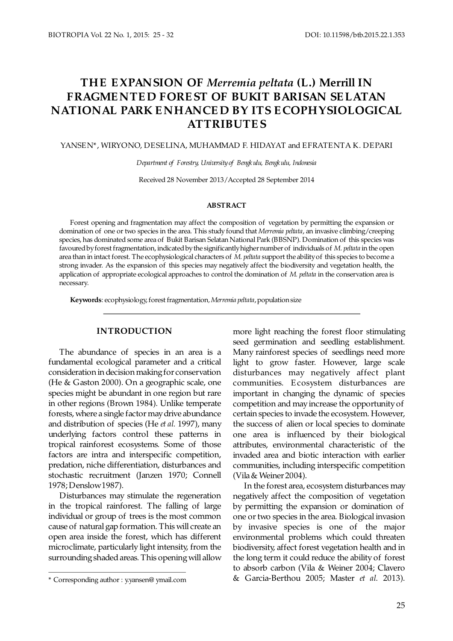# THE EXPANSION OF Merremia peltata (L.) Merrill IN **FRAGME NTE D FORE ST OF BUKIT BARISAN SE LATAN NATIONAL PARK E NHANCE D BY ITS E COPHYSIOLOGICAL ATTRIBUTE S**

YANSEN\*, WIRYONO, DESELINA, MUHAMMAD F. HIDAYAT and EFRATENTA K. DEPARI

*Department of Forestry, University of Bengk ulu, Bengkulu, Indonesia*

Received 28 November 2013/Accepted 28 September 2014

#### **ABSTRACT**

Forest opening and fragmentation may affect the composition of vegetation by permitting the expansion or domination of one or two species in the area. This study found that *Merremia peltata*, an invasive climbing/creeping species, has dominated some area of Bukit Barisan Selatan National Park (BBSNP). Domination of this species was favoured by forest fragmentation, indicated by the significantly higher number of individuals of M. peltata in the open area than in intact forest. The ecophysiological characters of M. peltata support the ability of this species to become a strong invader. As the expansion of this species may negatively affect the biodiversity and vegetation health, the application of appropriate ecological approaches to control the domination of M. peltata in the conservation area is necessary.

Keywords: ecophysiology, forest fragmentation, Merremia peltata, population size

#### **INTRODUCTION**

The abundance of species in an area is a fundamental ecological parameter and a critical consideration in decision making for conservation (He & Gaston 2000). On a geographic scale, one species might be abundant in one region but rare in other regions (Brown 1984). Unlike temperate forests, where a single factor may drive abundance and distribution of species (He et al. 1997), many underlying factors control these patterns in tropical rainforest ecosystems. Some of those factors are intra and interspecific competition, predation, niche differentiation, disturbances and stochastic recruitment (Janzen 1970; Connell 1978; Denslow 1987).

Disturbances may stimulate the regeneration in the tropical rainforest. The falling of large individual or group of trees is the most common cause of natural gap formation. This will create an open area inside the forest, which has different microclimate, particularly light intensity, from the surrounding shaded areas. This opening will allow

more light reaching the forest floor stimulating seed germination and seedling establishment. Many rainforest species of seedlings need more light to grow faster. However, large scale disturbances may negatively affect plant communities. E cosystem disturbances are important in changing the dynamic of species competition and may increase the opportunity of certain species to invade the ecosystem. However, the success of alien or local species to dominate one area is influenced by their biological attributes, environmental characteristic of the invaded area and biotic interaction with earlier communities, including interspecific competition (Vila & Weiner 2004).

In the forest area, ecosystem disturbances may negatively affect the composition of vegetation by permitting the expansion or domination of one or two species in the area. Biological invasion by invasive species is one of the major environmental problems which could threaten biodiversity, affect forest vegetation health and in the long term it could reduce the ability of forest to absorb carbon (Vila & Weiner 2004; Clavero \* Corresponding author : [y.yansen@ ymail.com](mailto:y.yansen@ymail.com) & Garcia-Berthou 2005; Master *et al.* 2013).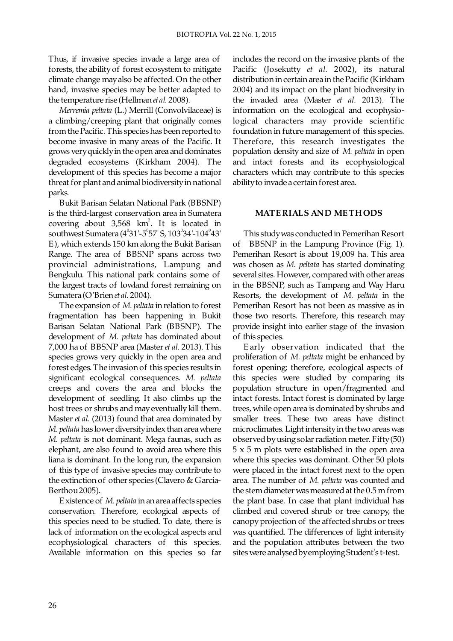Thus, if invasive species invade a large area of forests, the ability of forest ecosystem to mitigate climate change may also be affected. On the other hand, invasive species may be better adapted to the temperature rise (Hellman *et al.* 2008).

*Merremia peltata* (L.) Merrill (Convolvilaceae) is a climbing/creeping plant that originally comes from the Pacific. This species has been reported to become invasive in many areas of the Pacific. It grows very quickly in the open area and dominates degraded ecosystems (Kirkham 2004). The development of this species has become a major threat for plant and animal biodiversity in national parks.

Bukit Barisan Selatan National Park (BBSNP) is the third-largest conservation area in Sumatera covering about  $3,568$  km<sup>2</sup>. It is located in southwest Sumatera  $(4^{0}31' - 5^{0}57'$  S,  $103^{0}34' - 104^{0}43'$ E), which extends 150 km along the Bukit Barisan Range. The area of BBSNP spans across two provincial administrations, Lampung and Bengkulu. This national park contains some of the largest tracts of lowland forest remaining on Sumatera (O'Brien et al. 2004).

The expansion of M. peltata in relation to forest fragmentation has been happening in Bukit Barisan Selatan National Park (BBSNP). The development of M. peltata has dominated about 7,000 ha of BBSNP area (Master *et al.* 2013). This species grows very quickly in the open area and forest edges. The invasion of this species results in significant ecological consequences. *M. peltata* creeps and covers the area and blocks the development of seedling. It also climbs up the host trees or shrubs and may eventually kill them. Master *et al.* (2013) found that area dominated by *M. peltata* has lower diversity index than area where *M. peltata* is not dominant. Mega faunas, such as elephant, are also found to avoid area where this liana is dominant. In the long run, the expansion of this type of invasive species may contribute to the extinction of other species (Clavero & Garcia-Berthou 2005).

Existence of *M. peltata* in an area affects species conservation. Therefore, ecological aspects of this species need to be studied. To date, there is lack of information on the ecological aspects and ecophysiological characters of this species. Available information on this species so far

includes the record on the invasive plants of the Pacific (Josekutty et al. 2002), its natural distribution in certain area in the Pacific (Kirkham 2004) and its impact on the plant biodiversity in the invaded area (Master *et al.* 2013). The information on the ecological and ecophysiological characters may provide scientific foundation in future management of this species. Therefore, this research investigates the population density and size of *M. peltata* in open and intact forests and its ecophysiological characters which may contribute to this species ability to invade a certain forest area.

## **MATE RIALS AND ME THODS**

 This study was conducted in Pemerihan Resort of BBSNP in the Lampung Province (Fig. 1). Pemerihan Resort is about 19,009 ha. This area was chosen as M. *peltata* has started dominating several sites. However, compared with other areas in the BBSNP, such as Tampang and Way Haru Resorts, the development of M. peltata in the Pemerihan Resort has not been as massive as in those two resorts. Therefore, this research may provide insight into earlier stage of the invasion of this species.

 E arly observation indicated that the proliferation of M. *peltata* might be enhanced by forest opening; therefore, ecological aspects of this species were studied by comparing its population structure in open/fragmented and intact forests. Intact forest is dominated by large trees, while open area is dominated by shrubs and smaller trees. These two areas have distinct microclimates. Light intensity in the two areas was observed by using solar radiation meter. Fifty (50) 5 x 5 m plots were established in the open area where this species was dominant. Other 50 plots were placed in the intact forest next to the open area. The number of M. *peltata* was counted and the stem diameter was measured at the 0.5 m from the plant base. In case that plant individual has climbed and covered shrub or tree canopy, the canopy projection of the affected shrubs or trees was quantified. The differences of light intensity and the population attributes between the two sites were analysed by employing Student's t-test .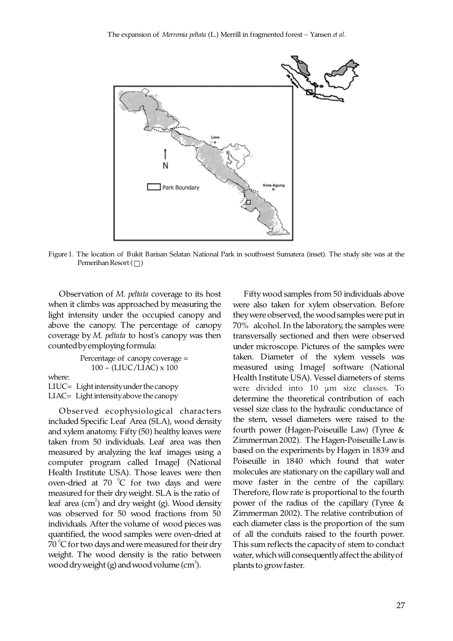

Figure 1. The location of Bukit Barisan Selatan National Park in southwest Sumatera (inset). The study site was at the Pemerihan Resort  $(\Box)$ 

Observation of *M. peltata* coverage to its host when it climbs was approached by measuring the light intensity under the occupied canopy and above the canopy. The percentage of canopy coverage by M. *peltata* to host's canopy was then counted by employing formula:

```
Percentage of canopy coverage = 
            100 – (LIUC/LIAC) x 100
where:
LIUC= Light intensity under the canopy 
LIAC= Light intensity above the canopy
```
Observed ecophysiological characters included Specific Leaf Area (SLA), wood density and xylem anatomy. Fifty (50) healthy leaves were taken from 50 individuals. Leaf area was then measured by analyzing the leaf images using a computer program called ImageJ (National Health Institute USA). Those leaves were then oven-dried at  $70\degree$ C for two days and were measured for their dry weight. SLA is the ratio of leaf area  $(cm<sup>2</sup>)$  and dry weight (g). Wood density was observed for 50 wood fractions from 50 individuals. After the volume of wood pieces was quantified, the wood samples were oven-dried at  $70^{\circ}$ C for two days and were measured for their dry weight. The wood density is the ratio between wood dry weight (g) and wood volume (cm<sup>3</sup>).

 Fifty wood samples from 50 individuals above were also taken for xylem observation. Before they were observed, the wood samples were put in 70% alcohol. In the laboratory, the samples were transversally sectioned and then were observed under microscope. Pictures of the samples were taken. Diameter of the xylem vessels was measured using ImageJ software (National Health Institute USA). Vessel diameters of stems were divided into 10 μm size classes. To determine the theoretical contribution of each vessel size class to the hydraulic conductance of the stem, vessel diameters were raised to the fourth power (Hagen-Poiseuille Law) (Tyree & Zimmerman 2002). The Hagen-Poiseuille Law is based on the experiments by Hagen in 1839 and Poiseuille in 1840 which found that water molecules are stationary on the capillary wall and move faster in the centre of the capillary. Therefore, flow rate is proportional to the fourth power of the radius of the capillary (Tyree & Zimmerman 2002). The relative contribution of each diameter class is the proportion of the sum of all the conduits raised to the fourth power. This sum reflects the capacity of stem to conduct water, which will consequently affect the ability of plants to grow faster.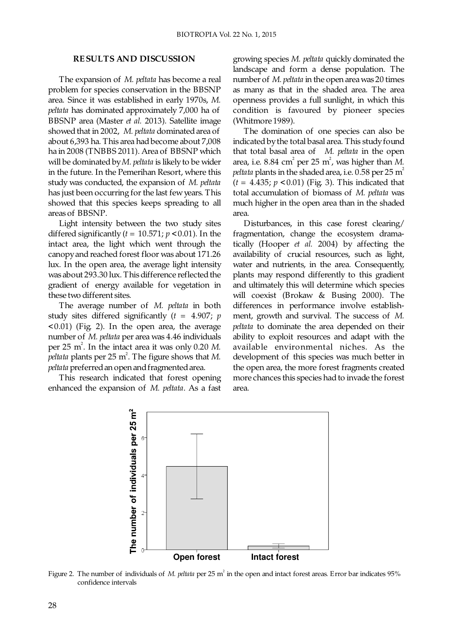### **RE SULTS AND DISCUSSION**

The expansion of M. *peltata* has become a real problem for species conservation in the BBSNP area. Since it was established in early 1970s, M. *peltata* has dominated approximately 7,000 ha of BBSNP area (Master *et al.* 2013). Satellite image showed that in 2002, M. peltata dominated area of about 6,393 ha. This area had become about 7,008 ha in 2008 (TNBBS 2011). Area of BBSNP which will be dominated by M. peltata is likely to be wider in the future. In the Pemerihan Resort, where this study was conducted, the expansion of *M. peltata*  has just been occurring for the last few years. This showed that this species keeps spreading to all areas of BBSNP.

 Light intensity between the two study sites differed significantly  $(t = 10.571; p < 0.01)$ . In the intact area, the light which went through the canopy and reached forest floor was about 171.26 lux. In the open area, the average light intensity was about 293.30 lux. This difference reflected the gradient of energy available for vegetation in these two different sites.

The average number of M. peltata in both study sites differed significantly  $(t = 4.907; p)$ <0.01) (Fig. 2). In the open area, the average number of M. peltata per area was 4.46 individuals per  $25 \text{ m}^2$ . In the intact area it was only  $0.20 \text{ M}$ . *peltata* plants per 25  $m^2$ . The figure shows that *M*. *peltata* preferred an open and fragmented area.

This research indicated that forest opening enhanced the expansion of *M. peltata*. As a fast growing species *M. peltata* quickly dominated the landscape and form a dense population. The number of M. *peltata* in the open area was 20 times as many as that in the shaded area. The area openness provides a full sunlight, in which this condition is favoured by pioneer species (Whitmore 1989).

 The domination of one species can also be indicated by the total basal area. This study found that total basal area of *M. peltata* in the open area, i.e.  $8.84 \text{ cm}^2 \text{ per } 25 \text{ m}^2$ , was higher than M. *peltata* plants in the shaded area, i.e.  $0.58$  per  $25 \text{ m}^2$  $(t = 4.435; p < 0.01)$  (Fig. 3). This indicated that total accumulation of biomass of M. peltata was much higher in the open area than in the shaded area.

Disturbances, in this case forest clearing/ fragmentation, change the ecosystem dramatically (Hooper et al. 2004) by affecting the availability of crucial resources, such as light, water and nutrients, in the area. Consequently, plants may respond differently to this gradient and ultimately this will determine which species will coexist (Brokaw & Busing 2000). The differences in performance involve establishment, growth and survival. The success of *M. peltata* to dominate the area depended on their ability to exploit resources and adapt with the available environmental niches. As the development of this species was much better in the open area, the more forest fragments created more chances this species had to invade the forest area.



Figure 2. The number of individuals of M. *peltata* per 25 m<sup>2</sup> in the open and intact forest areas. Error bar indicates 95% confidence intervals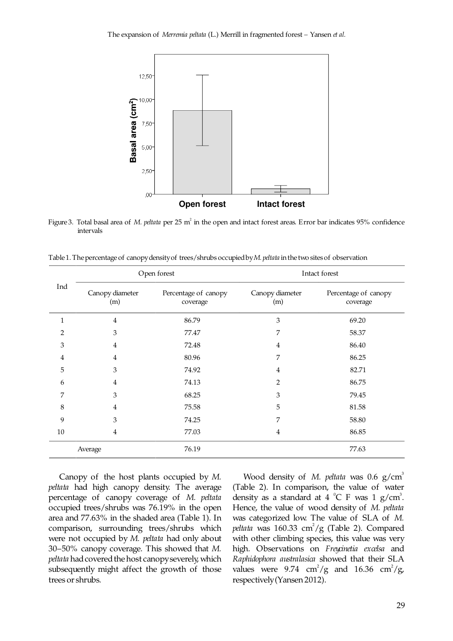

Figure 3. Total basal area of M. peltata per 25 m<sup>2</sup> in the open and intact forest areas. Error bar indicates 95% confidence intervals

Table 1. The percentage of canopy density of trees/shrubs occupied by *M. peltata* in the two sites of observation

| Ind            | Open forest            |                                  | Intact forest          |                                  |
|----------------|------------------------|----------------------------------|------------------------|----------------------------------|
|                | Canopy diameter<br>(m) | Percentage of canopy<br>coverage | Canopy diameter<br>(m) | Percentage of canopy<br>coverage |
| $\mathbf{1}$   | 4                      | 86.79                            | 3                      | 69.20                            |
| $\overline{2}$ | 3                      | 77.47                            | 7                      | 58.37                            |
| 3              | 4                      | 72.48                            | 4                      | 86.40                            |
| 4              | 4                      | 80.96                            | 7                      | 86.25                            |
| 5              | 3                      | 74.92                            | 4                      | 82.71                            |
| 6              | 4                      | 74.13                            | 2                      | 86.75                            |
| 7              | 3                      | 68.25                            | 3                      | 79.45                            |
| 8              | 4                      | 75.58                            | 5                      | 81.58                            |
| 9              | 3                      | 74.25                            | 7                      | 58.80                            |
| $10\,$         | 4                      | 77.03                            | 4                      | 86.85                            |
| Average        |                        | 76.19                            |                        | 77.63                            |

 Canopy of the host plants occupied by *M. peltata* had high canopy density. The average percentage of canopy coverage of *M. peltata* occupied trees/shrubs was 76.19% in the open area and 77.63% in the shaded area (Table 1). In comparison, surrounding trees/shrubs which were not occupied by M. peltata had only about 30–50% canopy coverage. This showed that *M. peltata* had covered the host canopy severely, which subsequently might affect the growth of those trees or shrubs.

Wood density of *M. peltata* was 0.6 g/cm<sup>3</sup> (Table 2). In comparison, the value of water density as a standard at  $4^{\circ}$ C F was  $1 \text{ g/cm}^3$ . Hence, the value of wood density of *M. peltata* was categorized low. The value of SLA of *M. peltata* was  $160.33 \text{ cm}^2/\text{g}$  (Table 2). Compared with other climbing species, this value was very high. Observations on *Freycinetia excelsa* and *Raphidophora australasica* showed that their SLA values were 9.74 cm<sup>2</sup>/g and 16.36 cm<sup>2</sup>/g, respectively (Yansen 2012).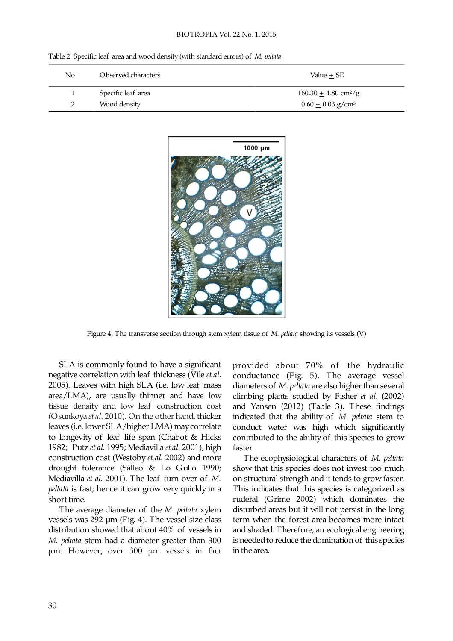#### BIOTROPIA Vol. 22 No. 1, 2015

| No. | Observed characters | Value + SE                         |
|-----|---------------------|------------------------------------|
|     | Specific leaf area  | $160.30 + 4.80$ cm <sup>2</sup> /g |
| ∸   | Wood density        | $0.60 \pm 0.03$ g/cm <sup>3</sup>  |

Table 2. Specific leaf area and wood density (with standard errors) of *M. peltata*



Figure 4. The transverse section through stem xylem tissue of M. peltata showing its vessels (V)

SLA is commonly found to have a significant negative correlation with leaf thickness (Vile et al. 2005). Leaves with high SLA (i.e. low leaf mass area/LMA), are usually thinner and have low tissue density and low leaf construction cost (Osunkoya et al. 2010). On the other hand, thicker leaves (i.e. lower SLA/higher LMA) may correlate to longevity of leaf life span (Chabot & Hicks 1982; Putz et al. 1995; Mediavilla et al. 2001), high construction cost (Westoby et al. 2002) and more drought tolerance (Salleo  $&$  Lo Gullo 1990; Mediavilla et al. 2001). The leaf turn-over of *M*. *peltata* is fast; hence it can grow very quickly in a short time.

The average diameter of the *M. peltata* xylem vessels was 292 µm (Fig. 4). The vessel size class distribution showed that about 40% of vessels in *M. peltata* stem had a diameter greater than 300 μm. However, over 300 μm vessels in fact

provided about 70% of the hydraulic conductance (Fig. 5). The average vessel diameters of M. *peltata* are also higher than several climbing plants studied by Fisher et al. (2002) and Yansen (2012) (Table 3). These findings indicated that the ability of M. peltata stem to conduct water was high which significantly contributed to the ability of this species to grow faster.

The ecophysiological characters of *M. peltata*  show that this species does not invest too much on structural strength and it tends to grow faster. This indicates that this species is categorized as ruderal (Grime 2002) which dominates the disturbed areas but it will not persist in the long term when the forest area becomes more intact and shaded. Therefore, an ecological engineering is needed to reduce the domination of this species in the area.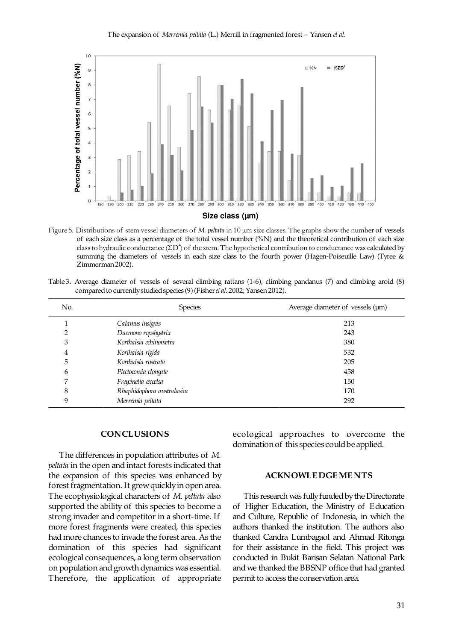

Figure 5. Distributions of stem vessel diameters of *M. peltata* in 10 μm size classes. The graphs show the number of vessels of each size class as a percentage of the total vessel number (%N) and the theoretical contribution of each size class to hydraulic conductance  $(2D^4)$  of the stem. The hypothetical contribution to conductance was calculated by summing the diameters of vessels in each size class to the fourth power (Hagen-Poiseuille Law) (Tyree & Zimmerman 2002).

Table 3. Average diameter of vessels of several climbing rattans (1-6), climbing pandanus (7) and climbing aroid (8) compared to currently studied species (9) (Fisher et al. 2002; Yansen 2012).

| No. | Species                    | Average diameter of vessels (µm) |
|-----|----------------------------|----------------------------------|
|     | Calamus insignis           | 213                              |
|     | Daemono ropshystrix        | 243                              |
| 3   | Korthalsia echinometra     | 380                              |
| 4   | Korthalsia rigida          | 532                              |
| 5   | Korthalsia rostrata        | 205                              |
| 6   | Plectocomia elongate       | 458                              |
|     | Freycinetia excelsa        | 150                              |
| 8   | Rhaphidophora australasica | 170                              |
| 9   | Merremia peltata           | 292                              |

#### **CONCLUSIONS**

 The differences in population attributes of *M. peltata* in the open and intact forests indicated that the expansion of this species was enhanced by forest fragmentation. It grew quickly in open area. The ecophysiological characters of M. peltata also supported the ability of this species to become a strong invader and competitor in a short-time. If more forest fragments were created, this species had more chances to invade the forest area. As the domination of this species had significant ecological consequences, a long term observation on population and growth dynamics was essential. Therefore, the application of appropriate

ecological approaches to overcome the domination of this species could be applied.

### **ACKNOWLE DGE ME NTS**

 This research was fully funded by the Directorate of Higher Education, the Ministry of Education and Culture, Republic of Indonesia, in which the authors thanked the institution. The authors also thanked Candra Lumbagaol and Ahmad Ritonga for their assistance in the field. This project was conducted in Bukit Barisan Selatan National Park and we thanked the BBSNP office that had granted permit to access the conservation area.